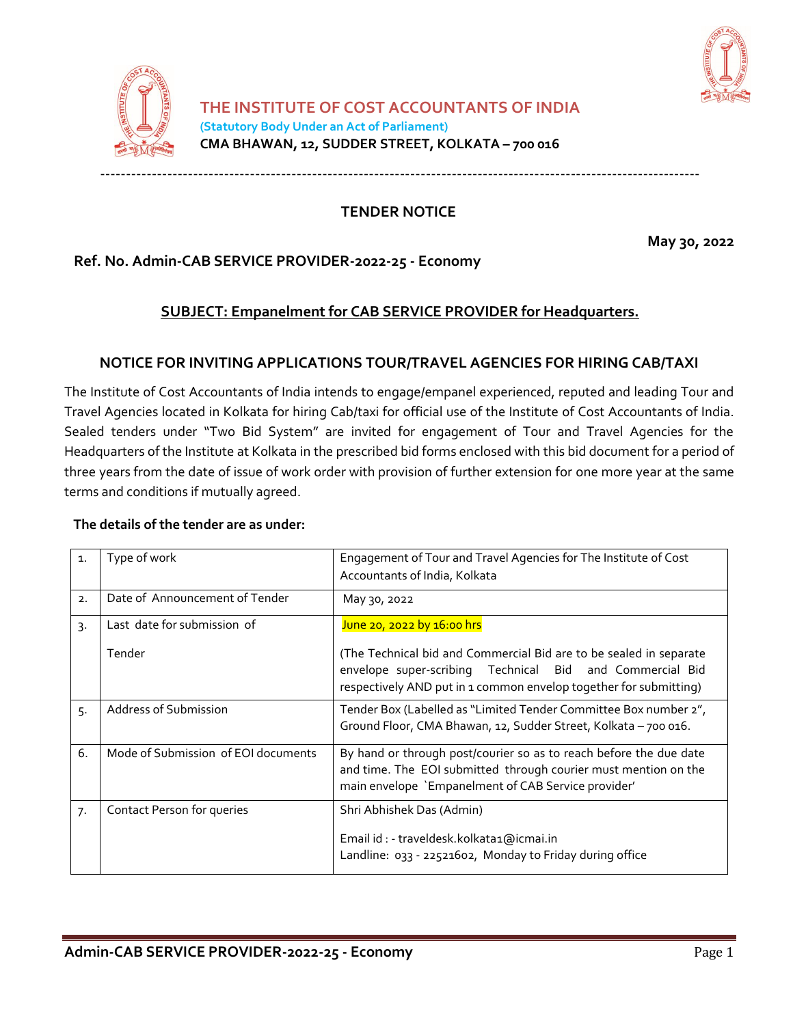



**TENDER NOTICE**

‐‐‐‐‐‐‐‐‐‐‐‐‐‐‐‐‐‐‐‐‐‐‐‐‐‐‐‐‐‐‐‐‐‐‐‐‐‐‐‐‐‐‐‐‐‐‐‐‐‐‐‐‐‐‐‐‐‐‐‐‐‐‐‐‐‐‐‐‐‐‐‐‐‐‐‐‐‐‐‐‐‐‐‐‐‐‐‐‐‐‐‐‐‐‐‐‐‐‐‐‐‐‐‐‐‐‐‐‐‐‐‐‐‐‐‐

**May 30, 2022**

# **Ref. No. Admin-CAB SERVICE PROVIDER-2022-25 - Economy**

## **SUBJECT: Empanelment for CAB SERVICE PROVIDER for Headquarters.**

## **NOTICE FOR INVITING APPLICATIONS TOUR/TRAVEL AGENCIES FOR HIRING CAB/TAXI**

The Institute of Cost Accountants of India intends to engage/empanel experienced, reputed and leading Tour and Travel Agencies located in Kolkata for hiring Cab/taxi for official use of the Institute of Cost Accountants of India. Sealed tenders under "Two Bid System" are invited for engagement of Tour and Travel Agencies for the Headquarters of the Institute at Kolkata in the prescribed bid forms enclosed with this bid document for a period of three years from the date of issue of work order with provision of further extension for one more year at the same terms and conditions if mutually agreed.

#### **The details of the tender are as under:**

| $\mathbf{1}$ . | Type of work                        | Engagement of Tour and Travel Agencies for The Institute of Cost<br>Accountants of India, Kolkata                                                                                                   |  |
|----------------|-------------------------------------|-----------------------------------------------------------------------------------------------------------------------------------------------------------------------------------------------------|--|
| 2.             | Date of Announcement of Tender      | May 30, 2022                                                                                                                                                                                        |  |
| 3.             | Last date for submission of         | June 20, 2022 by 16:00 hrs                                                                                                                                                                          |  |
|                | Tender                              | (The Technical bid and Commercial Bid are to be sealed in separate<br>envelope super-scribing Technical Bid and Commercial Bid<br>respectively AND put in 1 common envelop together for submitting) |  |
| 5.             | Address of Submission               | Tender Box (Labelled as "Limited Tender Committee Box number 2",<br>Ground Floor, CMA Bhawan, 12, Sudder Street, Kolkata - 700 016.                                                                 |  |
| 6.             | Mode of Submission of EOI documents | By hand or through post/courier so as to reach before the due date<br>and time. The EOI submitted through courier must mention on the<br>main envelope 'Empanelment of CAB Service provider'        |  |
| 7.             | Contact Person for queries          | Shri Abhishek Das (Admin)<br>Email id : - traveldesk.kolkata1@icmai.in<br>Landline: 033 - 22521602, Monday to Friday during office                                                                  |  |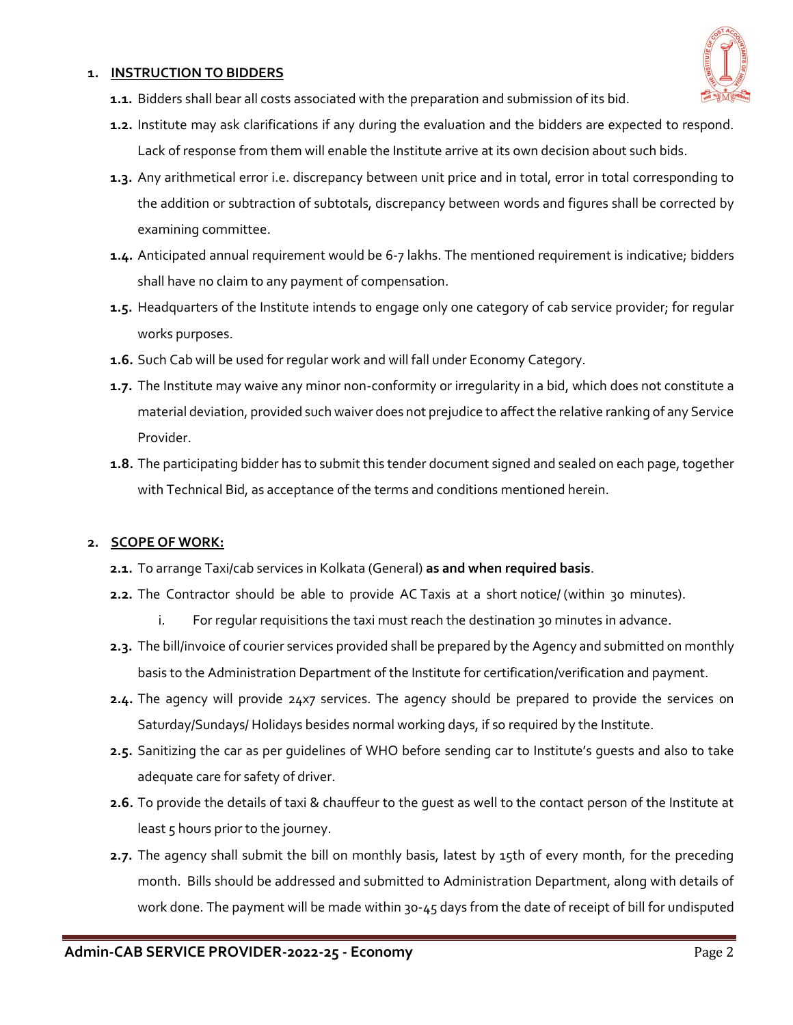#### **1. INSTRUCTION TO BIDDERS**



- **1.1.** Bidders shall bear all costs associated with the preparation and submission of its bid.
- **1.2.** Institute may ask clarifications if any during the evaluation and the bidders are expected to respond. Lack of response from them will enable the Institute arrive at its own decision about such bids.
- **1.3.** Any arithmetical error i.e. discrepancy between unit price and in total, error in total corresponding to the addition or subtraction of subtotals, discrepancy between words and figures shall be corrected by examining committee.
- **1.4.** Anticipated annual requirement would be 6-7 lakhs. The mentioned requirement is indicative; bidders shall have no claim to any payment of compensation.
- **1.5.** Headquarters of the Institute intends to engage only one category of cab service provider; for regular works purposes.
- **1.6.** Such Cab will be used for regular work and will fall under Economy Category.
- **1.7.** The Institute may waive any minor non-conformity or irregularity in a bid, which does not constitute a material deviation, provided such waiver does not prejudice to affect the relative ranking of any Service Provider.
- **1.8.** The participating bidder has to submit this tender document signed and sealed on each page, together with Technical Bid, as acceptance of the terms and conditions mentioned herein.

## **2. SCOPE OF WORK:**

- **2.1.** To arrange Taxi/cab services in Kolkata (General) **as and when required basis**.
- **2.2.** The Contractor should be able to provide AC Taxis at a short notice/ (within 30 minutes).
	- i. For regular requisitions the taxi must reach the destination 30 minutes in advance.
- **2.3.** The bill/invoice of courier services provided shall be prepared by the Agency and submitted on monthly basis to the Administration Department of the Institute for certification/verification and payment.
- **2.4.** The agency will provide 24x7 services. The agency should be prepared to provide the services on Saturday/Sundays/ Holidays besides normal working days, if so required by the Institute.
- **2.5.** Sanitizing the car as per guidelines of WHO before sending car to Institute's guests and also to take adequate care for safety of driver.
- **2.6.** To provide the details of taxi & chauffeur to the guest as well to the contact person of the Institute at least 5 hours prior to the journey.
- **2.7.** The agency shall submit the bill on monthly basis, latest by 15th of every month, for the preceding month. Bills should be addressed and submitted to Administration Department, along with details of work done. The payment will be made within 30-45 days from the date of receipt of bill for undisputed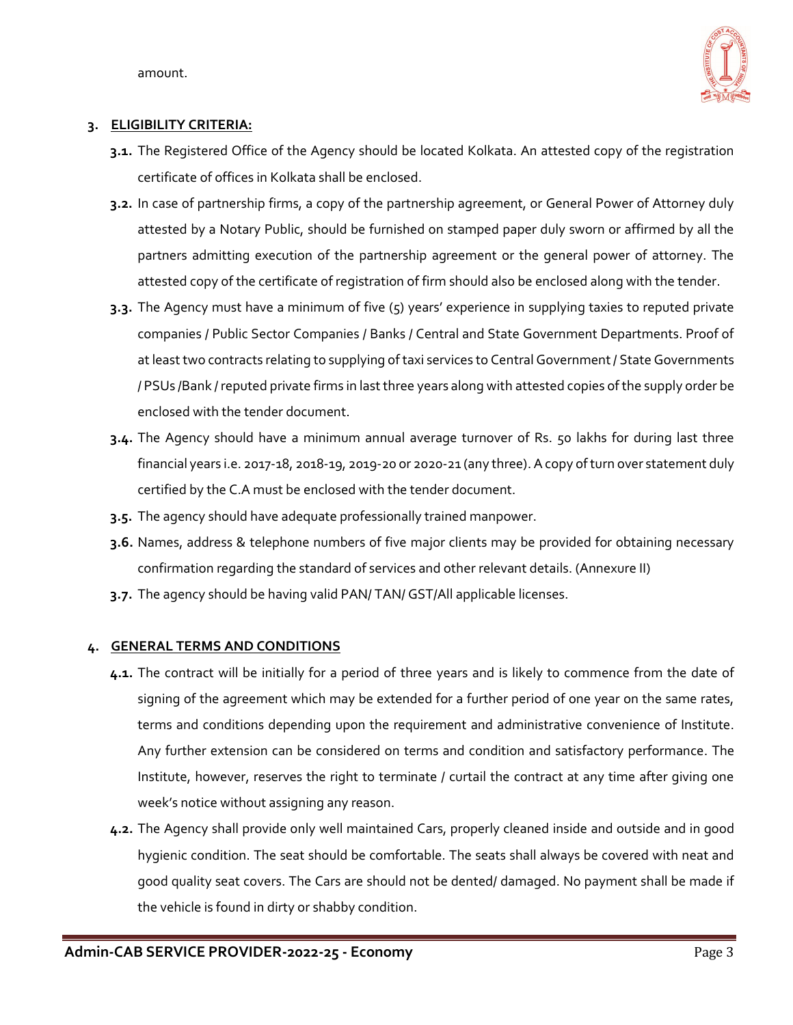amount.



## **3. ELIGIBILITY CRITERIA:**

- **3.1.** The Registered Office of the Agency should be located Kolkata. An attested copy of the registration certificate of offices in Kolkata shall be enclosed.
- **3.2.** In case of partnership firms, a copy of the partnership agreement, or General Power of Attorney duly attested by a Notary Public, should be furnished on stamped paper duly sworn or affirmed by all the partners admitting execution of the partnership agreement or the general power of attorney. The attested copy of the certificate of registration of firm should also be enclosed along with the tender.
- **3.3.** The Agency must have a minimum of five (5) years' experience in supplying taxies to reputed private companies / Public Sector Companies / Banks / Central and State Government Departments. Proof of at least two contracts relating to supplying of taxi services to Central Government / State Governments / PSUs /Bank / reputed private firms in last three years along with attested copies of the supply order be enclosed with the tender document.
- **3.4.** The Agency should have a minimum annual average turnover of Rs. 50 lakhs for during last three financial years i.e. 2017-18, 2018-19, 2019-20 or 2020-21 (any three). A copy of turn over statement duly certified by the C.A must be enclosed with the tender document.
- **3.5.** The agency should have adequate professionally trained manpower.
- **3.6.** Names, address & telephone numbers of five major clients may be provided for obtaining necessary confirmation regarding the standard of services and other relevant details. (Annexure II)
- **3.7.** The agency should be having valid PAN/ TAN/ GST/All applicable licenses.

## **4. GENERAL TERMS AND CONDITIONS**

- **4.1.** The contract will be initially for a period of three years and is likely to commence from the date of signing of the agreement which may be extended for a further period of one year on the same rates, terms and conditions depending upon the requirement and administrative convenience of Institute. Any further extension can be considered on terms and condition and satisfactory performance. The Institute, however, reserves the right to terminate / curtail the contract at any time after giving one week's notice without assigning any reason.
- **4.2.** The Agency shall provide only well maintained Cars, properly cleaned inside and outside and in good hygienic condition. The seat should be comfortable. The seats shall always be covered with neat and good quality seat covers. The Cars are should not be dented/ damaged. No payment shall be made if the vehicle is found in dirty or shabby condition.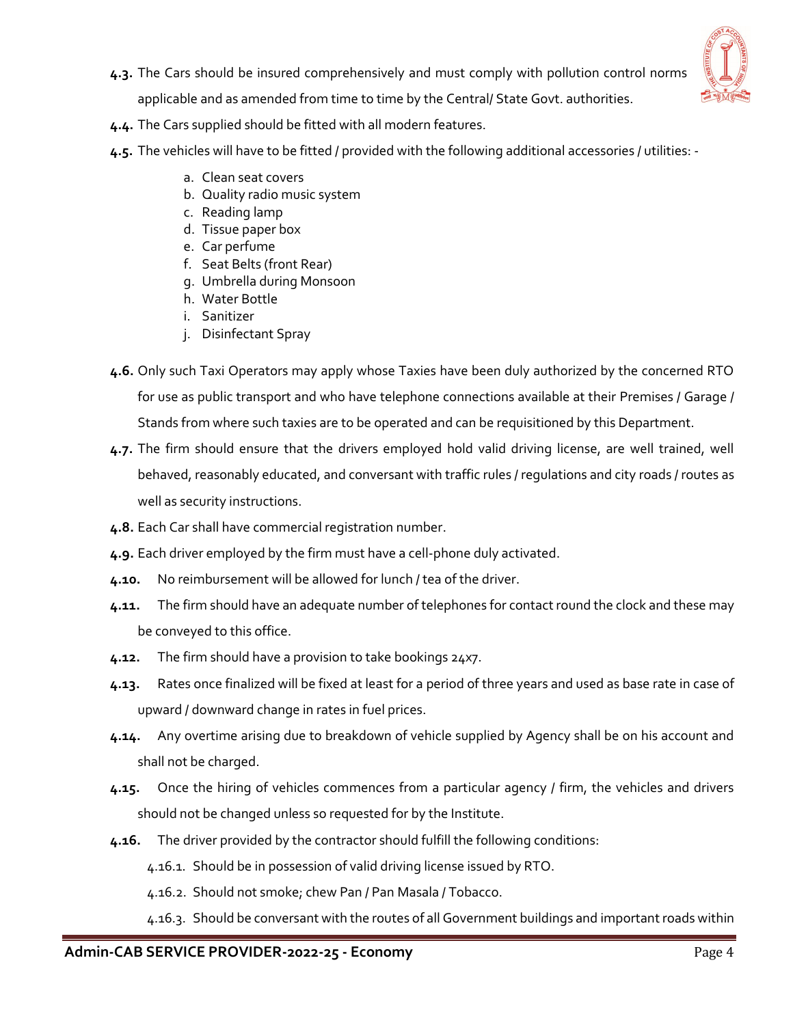

**4.3.** The Cars should be insured comprehensively and must comply with pollution control norms

applicable and as amended from time to time by the Central/ State Govt. authorities.

- **4.4.** The Cars supplied should be fitted with all modern features.
- **4.5.** The vehicles will have to be fitted / provided with the following additional accessories / utilities:
	- a. Clean seat covers
	- b. Quality radio music system
	- c. Reading lamp
	- d. Tissue paper box
	- e. Car perfume
	- f. Seat Belts (front Rear)
	- g. Umbrella during Monsoon
	- h. Water Bottle
	- i. Sanitizer
	- j. Disinfectant Spray
- **4.6.** Only such Taxi Operators may apply whose Taxies have been duly authorized by the concerned RTO for use as public transport and who have telephone connections available at their Premises / Garage / Stands from where such taxies are to be operated and can be requisitioned by this Department.
- **4.7.** The firm should ensure that the drivers employed hold valid driving license, are well trained, well behaved, reasonably educated, and conversant with traffic rules / regulations and city roads / routes as well as security instructions.
- **4.8.** Each Car shall have commercial registration number.
- **4.9.** Each driver employed by the firm must have a cell-phone duly activated.
- **4.10.** No reimbursement will be allowed for lunch / tea of the driver.
- **4.11.** The firm should have an adequate number of telephones for contact round the clock and these may be conveyed to this office.
- **4.12.** The firm should have a provision to take bookings 24x7.
- **4.13.** Rates once finalized will be fixed at least for a period of three years and used as base rate in case of upward / downward change in rates in fuel prices.
- **4.14.** Any overtime arising due to breakdown of vehicle supplied by Agency shall be on his account and shall not be charged.
- **4.15.** Once the hiring of vehicles commences from a particular agency / firm, the vehicles and drivers should not be changed unless so requested for by the Institute.
- **4.16.** The driver provided by the contractor should fulfill the following conditions:
	- 4.16.1. Should be in possession of valid driving license issued by RTO.
	- 4.16.2. Should not smoke; chew Pan / Pan Masala / Tobacco.
	- 4.16.3. Should be conversant with the routes of all Government buildings and important roads within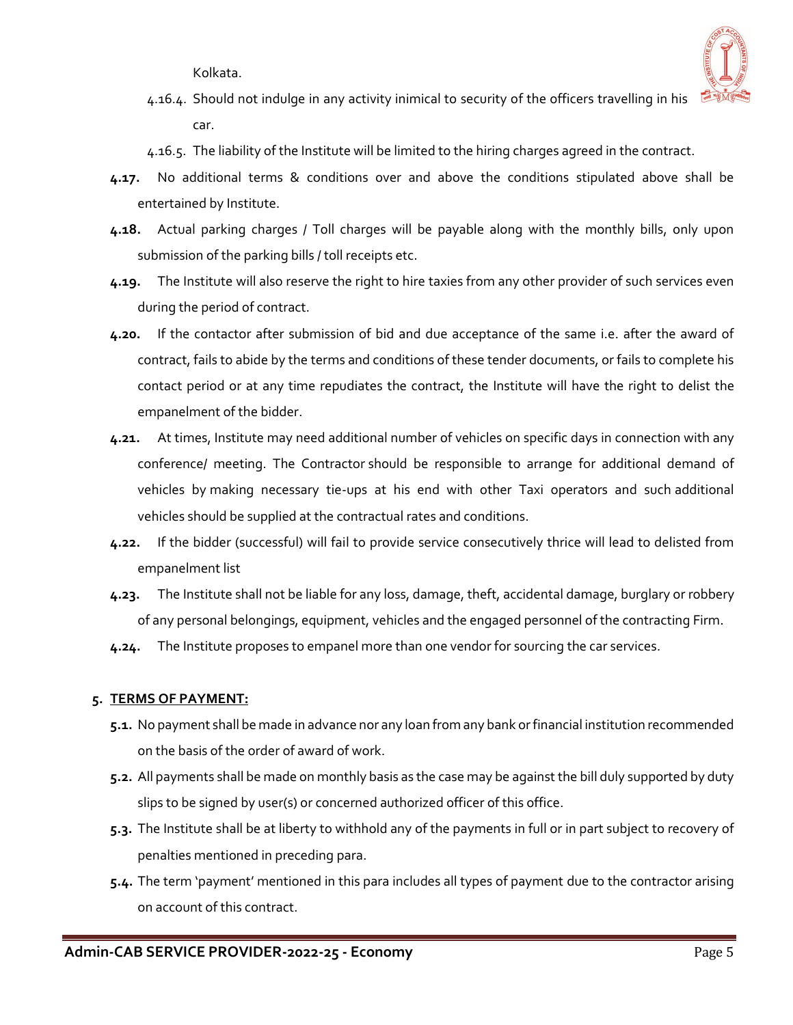Kolkata.



- 4.16.4. Should not indulge in any activity inimical to security of the officers travelling in his car.
- 4.16.5. The liability of the Institute will be limited to the hiring charges agreed in the contract.
- **4.17.** No additional terms & conditions over and above the conditions stipulated above shall be entertained by Institute.
- **4.18.** Actual parking charges / Toll charges will be payable along with the monthly bills, only upon submission of the parking bills / toll receipts etc.
- **4.19.** The Institute will also reserve the right to hire taxies from any other provider of such services even during the period of contract.
- **4.20.** If the contactor after submission of bid and due acceptance of the same i.e. after the award of contract, fails to abide by the terms and conditions of these tender documents, or fails to complete his contact period or at any time repudiates the contract, the Institute will have the right to delist the empanelment of the bidder.
- **4.21.** At times, Institute may need additional number of vehicles on specific days in connection with any conference/ meeting. The Contractor should be responsible to arrange for additional demand of vehicles by making necessary tie-ups at his end with other Taxi operators and such additional vehicles should be supplied at the contractual rates and conditions.
- **4.22.** If the bidder (successful) will fail to provide service consecutively thrice will lead to delisted from empanelment list
- **4.23.** The Institute shall not be liable for any loss, damage, theft, accidental damage, burglary or robbery of any personal belongings, equipment, vehicles and the engaged personnel of the contracting Firm.
- **4.24.** The Institute proposes to empanel more than one vendor for sourcing the car services.

## **5. TERMS OF PAYMENT:**

- **5.1.** No payment shall be made in advance nor any loan from any bank or financial institution recommended on the basis of the order of award of work.
- **5.2.** All payments shall be made on monthly basis as the case may be against the bill duly supported by duty slips to be signed by user(s) or concerned authorized officer of this office.
- **5.3.** The Institute shall be at liberty to withhold any of the payments in full or in part subject to recovery of penalties mentioned in preceding para.
- **5.4.** The term 'payment' mentioned in this para includes all types of payment due to the contractor arising on account of this contract.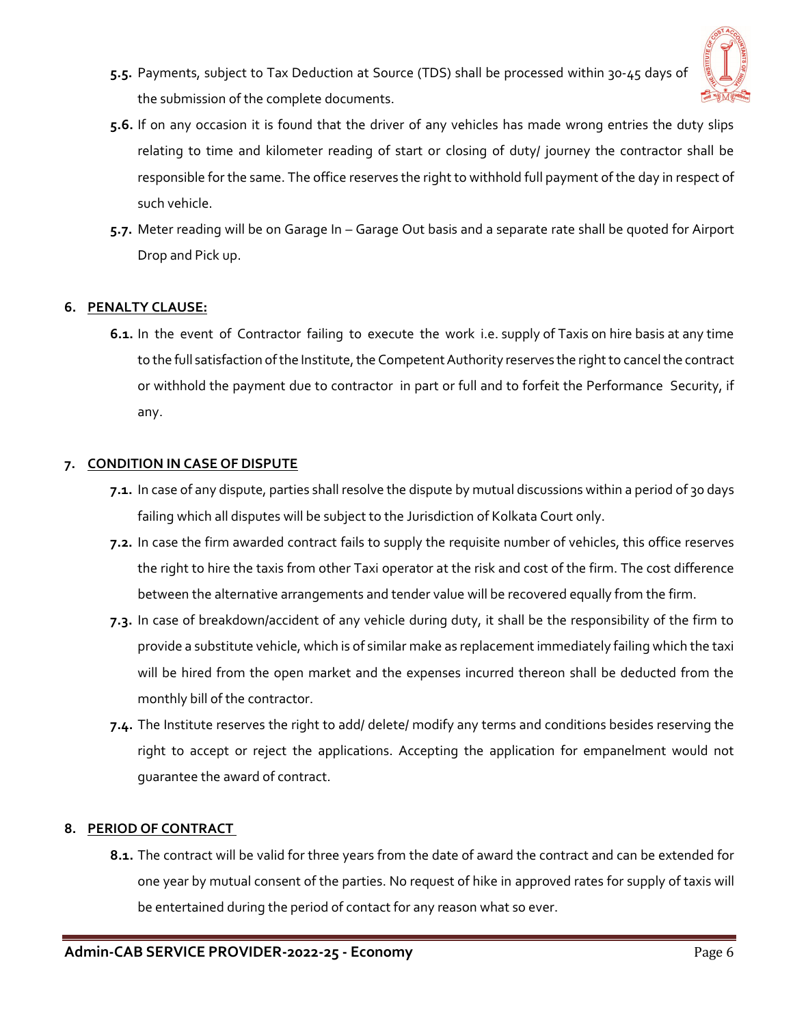

- **5.5.** Payments, subject to Tax Deduction at Source (TDS) shall be processed within 30-45 days of the submission of the complete documents.
- **5.6.** If on any occasion it is found that the driver of any vehicles has made wrong entries the duty slips relating to time and kilometer reading of start or closing of duty/ journey the contractor shall be responsible for the same. The office reserves the right to withhold full payment of the day in respect of such vehicle.
- **5.7.** Meter reading will be on Garage In Garage Out basis and a separate rate shall be quoted for Airport Drop and Pick up.

## **6. PENALTY CLAUSE:**

**6.1.** In the event of Contractor failing to execute the work i.e. supply of Taxis on hire basis at any time to the full satisfaction of the Institute, the Competent Authority reserves the right to cancel the contract or withhold the payment due to contractor in part or full and to forfeit the Performance Security, if any.

#### **7. CONDITION IN CASE OF DISPUTE**

- **7.1.** In case of any dispute, parties shall resolve the dispute by mutual discussions within a period of 30 days failing which all disputes will be subject to the Jurisdiction of Kolkata Court only.
- **7.2.** In case the firm awarded contract fails to supply the requisite number of vehicles, this office reserves the right to hire the taxis from other Taxi operator at the risk and cost of the firm. The cost difference between the alternative arrangements and tender value will be recovered equally from the firm.
- **7.3.** In case of breakdown/accident of any vehicle during duty, it shall be the responsibility of the firm to provide a substitute vehicle, which is of similar make as replacement immediately failing which the taxi will be hired from the open market and the expenses incurred thereon shall be deducted from the monthly bill of the contractor.
- **7.4.** The Institute reserves the right to add/ delete/ modify any terms and conditions besides reserving the right to accept or reject the applications. Accepting the application for empanelment would not guarantee the award of contract.

## **8. PERIOD OF CONTRACT**

**8.1.** The contract will be valid for three years from the date of award the contract and can be extended for one year by mutual consent of the parties. No request of hike in approved rates for supply of taxis will be entertained during the period of contact for any reason what so ever.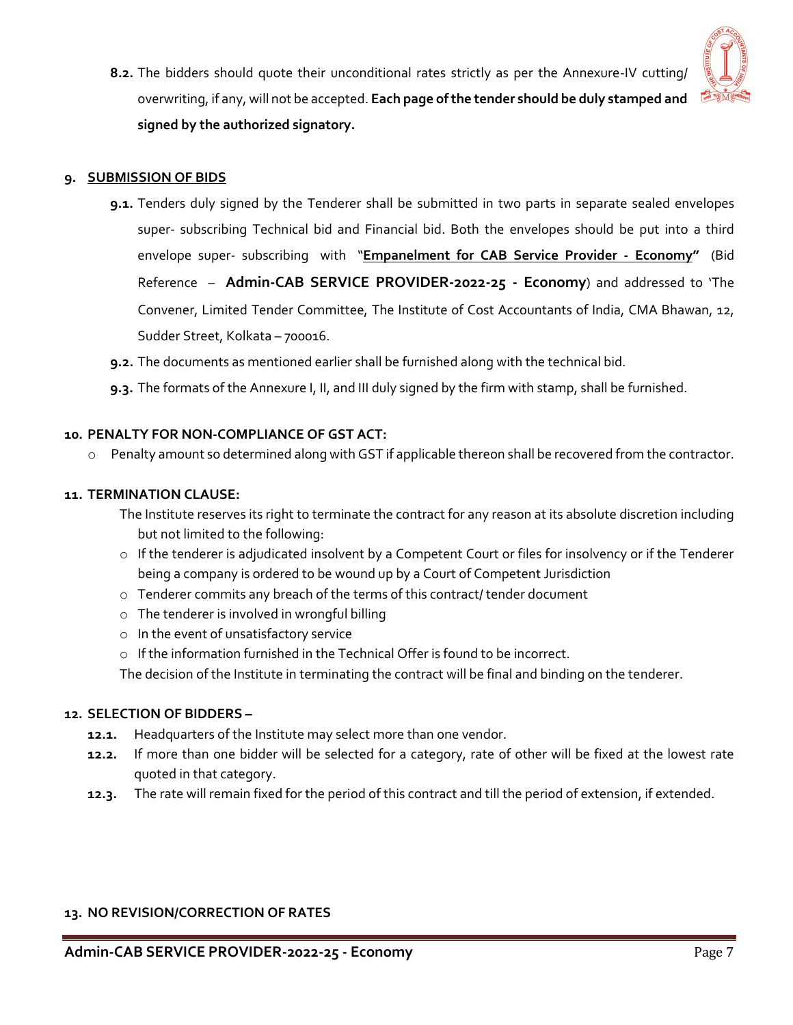

**8.2.** The bidders should quote their unconditional rates strictly as per the Annexure-IV cutting/ overwriting, if any, will not be accepted. **Each page of the tender should be duly stamped and signed by the authorized signatory.**

## **9. SUBMISSION OF BIDS**

- **9.1.** Tenders duly signed by the Tenderer shall be submitted in two parts in separate sealed envelopes super- subscribing Technical bid and Financial bid. Both the envelopes should be put into a third envelope super‐ subscribing with "**Empanelment for CAB Service Provider - Economy"** (Bid Reference – **Admin-CAB SERVICE PROVIDER-2022-25 - Economy**) and addressed to 'The Convener, Limited Tender Committee, The Institute of Cost Accountants of India, CMA Bhawan, 12, Sudder Street, Kolkata – 700016.
- **9.2.** The documents as mentioned earlier shall be furnished along with the technical bid.
- **9.3.** The formats of the Annexure I, II, and III duly signed by the firm with stamp, shall be furnished.

## **10. PENALTY FOR NON-COMPLIANCE OF GST ACT:**

o Penalty amount so determined along with GST if applicable thereon shall be recovered from the contractor.

#### **11. TERMINATION CLAUSE:**

The Institute reserves its right to terminate the contract for any reason at its absolute discretion including but not limited to the following:

- o If the tenderer is adjudicated insolvent by a Competent Court or files for insolvency or if the Tenderer being a company is ordered to be wound up by a Court of Competent Jurisdiction
- o Tenderer commits any breach of the terms of this contract/ tender document
- o The tenderer is involved in wrongful billing
- o In the event of unsatisfactory service
- o If the information furnished in the Technical Offer is found to be incorrect.

The decision of the Institute in terminating the contract will be final and binding on the tenderer.

#### **12. SELECTION OF BIDDERS –**

- **12.1.** Headquarters of the Institute may select more than one vendor.
- **12.2.** If more than one bidder will be selected for a category, rate of other will be fixed at the lowest rate quoted in that category.
- **12.3.** The rate will remain fixed for the period of this contract and till the period of extension, if extended.

#### **13. NO REVISION/CORRECTION OF RATES**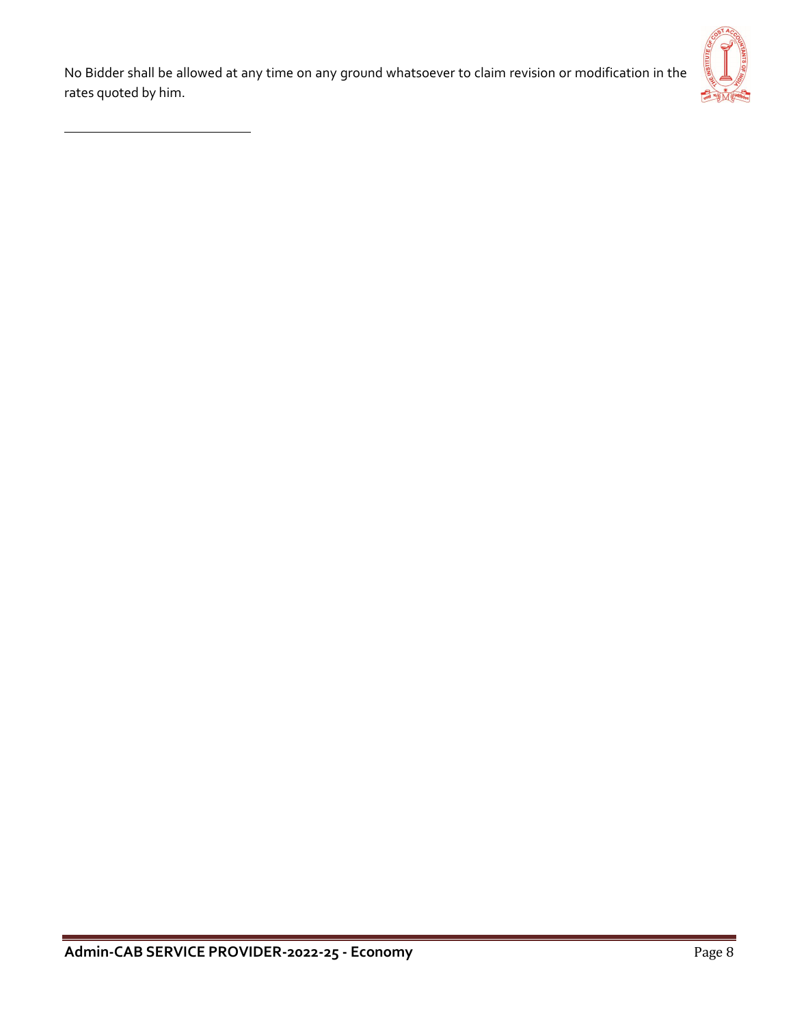No Bidder shall be allowed at any time on any ground whatsoever to claim revision or modification in the rates quoted by him.

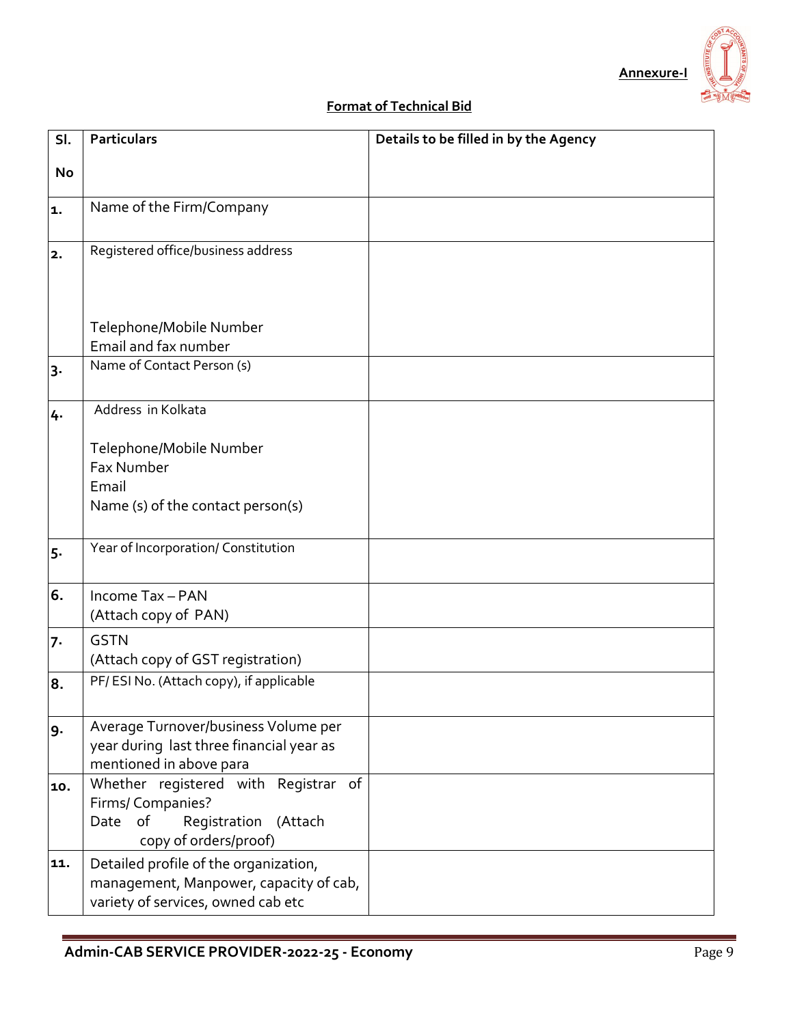# **Format of Technical Bid**

| SI.   | <b>Particulars</b>                                              | Details to be filled in by the Agency |
|-------|-----------------------------------------------------------------|---------------------------------------|
| No    |                                                                 |                                       |
|       |                                                                 |                                       |
| 1.    | Name of the Firm/Company                                        |                                       |
|       |                                                                 |                                       |
| 2.    | Registered office/business address                              |                                       |
|       |                                                                 |                                       |
|       |                                                                 |                                       |
|       | Telephone/Mobile Number                                         |                                       |
|       | Email and fax number                                            |                                       |
| $3 -$ | Name of Contact Person (s)                                      |                                       |
|       |                                                                 |                                       |
| 4.    | Address in Kolkata                                              |                                       |
|       | Telephone/Mobile Number                                         |                                       |
|       | <b>Fax Number</b>                                               |                                       |
|       | Email                                                           |                                       |
|       | Name (s) of the contact person(s)                               |                                       |
|       |                                                                 |                                       |
| 5.    | Year of Incorporation/ Constitution                             |                                       |
|       |                                                                 |                                       |
| 6.    | Income Tax - PAN                                                |                                       |
|       | (Attach copy of PAN)                                            |                                       |
| 7.    | <b>GSTN</b>                                                     |                                       |
|       | (Attach copy of GST registration)                               |                                       |
| 8.    | PF/ESI No. (Attach copy), if applicable                         |                                       |
|       |                                                                 |                                       |
| 9.    | Average Turnover/business Volume per                            |                                       |
|       | year during last three financial year as                        |                                       |
| 10.   | mentioned in above para<br>Whether registered with Registrar of |                                       |
|       | Firms/ Companies?                                               |                                       |
|       | Registration<br>of<br>(Attach<br>Date                           |                                       |
|       | copy of orders/proof)                                           |                                       |
| 11.   | Detailed profile of the organization,                           |                                       |
|       | management, Manpower, capacity of cab,                          |                                       |
|       | variety of services, owned cab etc                              |                                       |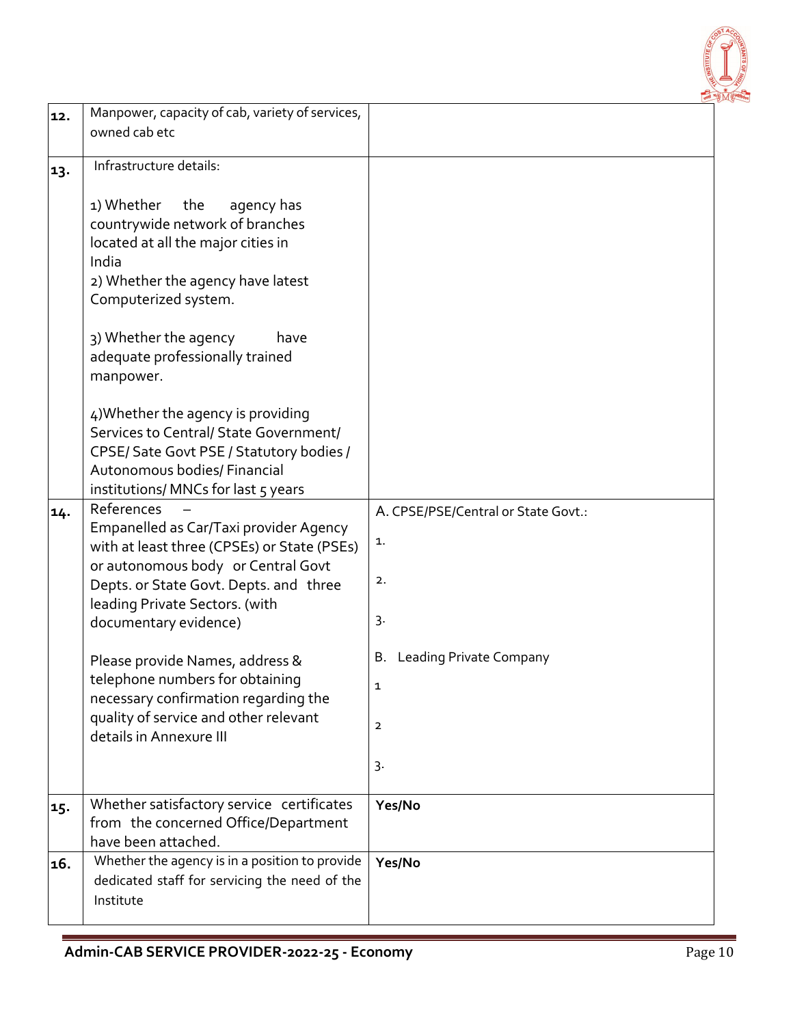

| 12. | Manpower, capacity of cab, variety of services,                                                                                                                                                                                                                                                                                                                                                                                                                   |                                                                                                                            |
|-----|-------------------------------------------------------------------------------------------------------------------------------------------------------------------------------------------------------------------------------------------------------------------------------------------------------------------------------------------------------------------------------------------------------------------------------------------------------------------|----------------------------------------------------------------------------------------------------------------------------|
|     | owned cab etc                                                                                                                                                                                                                                                                                                                                                                                                                                                     |                                                                                                                            |
| 13. | Infrastructure details:                                                                                                                                                                                                                                                                                                                                                                                                                                           |                                                                                                                            |
|     | 1) Whether<br>the<br>agency has<br>countrywide network of branches<br>located at all the major cities in<br>India<br>2) Whether the agency have latest<br>Computerized system.<br>3) Whether the agency<br>have<br>adequate professionally trained<br>manpower.<br>4) Whether the agency is providing<br>Services to Central/ State Government/<br>CPSE/Sate Govt PSE / Statutory bodies /<br>Autonomous bodies/ Financial<br>institutions/ MNCs for last 5 years |                                                                                                                            |
| 14. | References<br>Empanelled as Car/Taxi provider Agency<br>with at least three (CPSEs) or State (PSEs)<br>or autonomous body or Central Govt<br>Depts. or State Govt. Depts. and three<br>leading Private Sectors. (with<br>documentary evidence)<br>Please provide Names, address &<br>telephone numbers for obtaining<br>necessary confirmation regarding the<br>quality of service and other relevant<br>details in Annexure III                                  | A. CPSE/PSE/Central or State Govt.:<br>1.<br>2.<br>3.<br><b>Leading Private Company</b><br>В.<br>1<br>$\overline{2}$<br>3. |
| 15. | Whether satisfactory service certificates<br>from the concerned Office/Department<br>have been attached.                                                                                                                                                                                                                                                                                                                                                          | Yes/No                                                                                                                     |
| 16. | Whether the agency is in a position to provide<br>dedicated staff for servicing the need of the<br>Institute                                                                                                                                                                                                                                                                                                                                                      | Yes/No                                                                                                                     |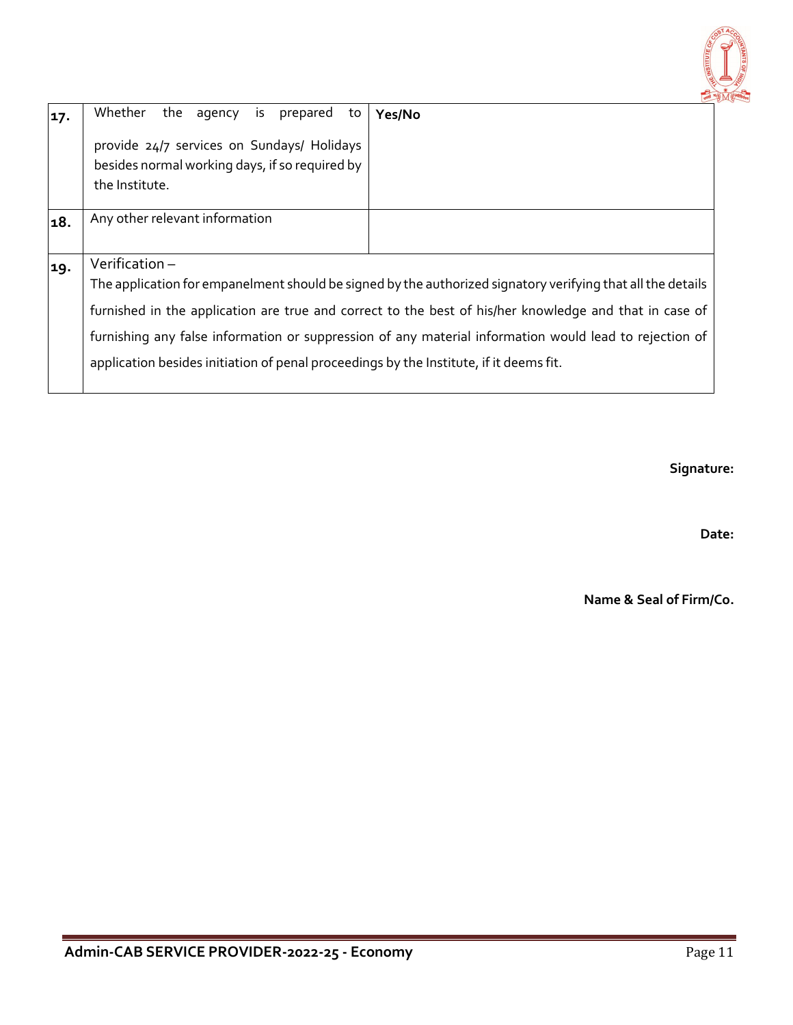

| 17. | the agency is prepared<br>Whether<br>to                                                                        | Yes/No                                                                                                                                                                                                                                                                                                                          |
|-----|----------------------------------------------------------------------------------------------------------------|---------------------------------------------------------------------------------------------------------------------------------------------------------------------------------------------------------------------------------------------------------------------------------------------------------------------------------|
|     | provide 24/7 services on Sundays/ Holidays<br>besides normal working days, if so required by<br>the Institute. |                                                                                                                                                                                                                                                                                                                                 |
| 18. | Any other relevant information                                                                                 |                                                                                                                                                                                                                                                                                                                                 |
| 19. | Verification-<br>application besides initiation of penal proceedings by the Institute, if it deems fit.        | The application for empanelment should be signed by the authorized signatory verifying that all the details<br>furnished in the application are true and correct to the best of his/her knowledge and that in case of<br>furnishing any false information or suppression of any material information would lead to rejection of |

**Signature:** 

**Date:**

**Name & Seal of Firm/Co.**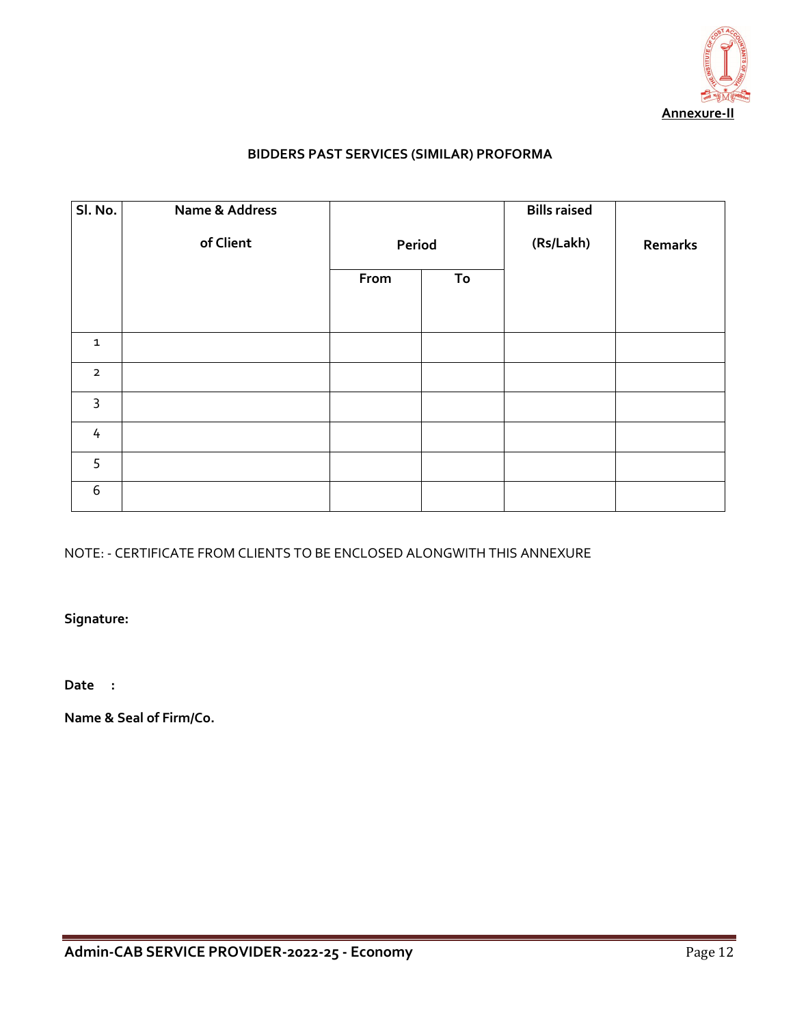

# **BIDDERS PAST SERVICES (SIMILAR) PROFORMA**

| Sl. No.        | Name & Address |        |    | <b>Bills raised</b> |         |
|----------------|----------------|--------|----|---------------------|---------|
|                | of Client      | Period |    | (Rs/Lakh)           | Remarks |
|                |                | From   | To |                     |         |
|                |                |        |    |                     |         |
| $\mathbf{1}$   |                |        |    |                     |         |
| $\overline{2}$ |                |        |    |                     |         |
| $\mathsf{3}$   |                |        |    |                     |         |
| $\overline{4}$ |                |        |    |                     |         |
| 5              |                |        |    |                     |         |
| $6\,$          |                |        |    |                     |         |

## NOTE: - CERTIFICATE FROM CLIENTS TO BE ENCLOSED ALONGWITH THIS ANNEXURE

**Signature:** 

**Date :**

**Name & Seal of Firm/Co.**